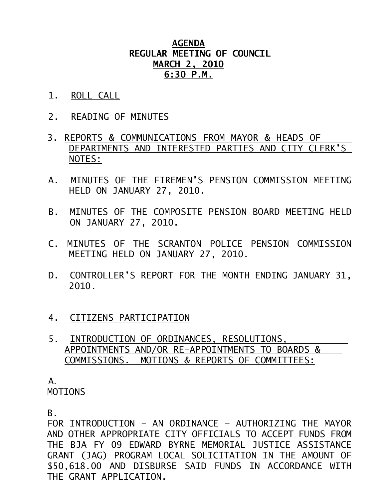## **AGENDA REGULAR MEETING OF COUNCIL MARCH 2, 2010 6:30 P.M.**

- 1. ROLL CALL
- 2. READING OF MINUTES
- 3. REPORTS & COMMUNICATIONS FROM MAYOR & HEADS OF DEPARTMENTS AND INTERESTED PARTIES AND CITY CLERK'S NOTES:
- A. MINUTES OF THE FIREMEN'S PENSION COMMISSION MEETING HELD ON JANUARY 27, 2010.
- B. MINUTES OF THE COMPOSITE PENSION BOARD MEETING HELD ON JANUARY 27, 2010.
- C. MINUTES OF THE SCRANTON POLICE PENSION COMMISSION MEETING HELD ON JANUARY 27, 2010.
- D. CONTROLLER'S REPORT FOR THE MONTH ENDING JANUARY 31, 2010.
- 4. CITIZENS PARTICIPATION
- 5. INTRODUCTION OF ORDINANCES, RESOLUTIONS, APPOINTMENTS AND/OR RE-APPOINTMENTS TO BOARDS & COMMISSIONS. MOTIONS & REPORTS OF COMMITTEES:

A.

MOTIONS

B.

 FOR INTRODUCTION – AN ORDINANCE – AUTHORIZING THE MAYOR AND OTHER APPROPRIATE CITY OFFICIALS TO ACCEPT FUNDS FROM THE BJA FY 09 EDWARD BYRNE MEMORIAL JUSTICE ASSISTANCE GRANT (JAG) PROGRAM LOCAL SOLICITATION IN THE AMOUNT OF \$50,618.00 AND DISBURSE SAID FUNDS IN ACCORDANCE WITH THE GRANT APPLICATION.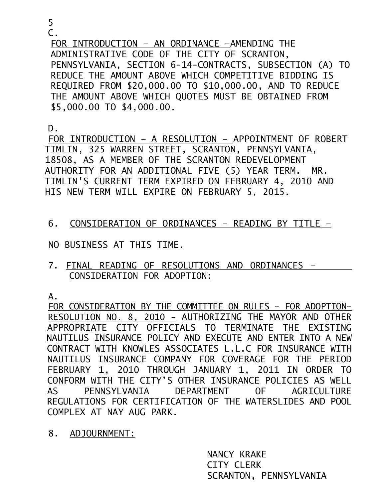5

C.

 FOR INTRODUCTION – AN ORDINANCE –AMENDING THE ADMINISTRATIVE CODE OF THE CITY OF SCRANTON, PENNSYLVANIA, SECTION 6-14-CONTRACTS, SUBSECTION (A) TO REDUCE THE AMOUNT ABOVE WHICH COMPETITIVE BIDDING IS REQUIRED FROM \$20,000.00 TO \$10,000.00, AND TO REDUCE THE AMOUNT ABOVE WHICH QUOTES MUST BE OBTAINED FROM \$5,000.00 TO \$4,000.00.

 $D<sub>-</sub>$ 

FOR INTRODUCTION – A RESOLUTION – APPOINTMENT OF ROBERT TIMLIN, 325 WARREN STREET, SCRANTON, PENNSYLVANIA, 18508, AS A MEMBER OF THE SCRANTON REDEVELOPMENT AUTHORITY FOR AN ADDITIONAL FIVE (5) YEAR TERM. MR. TIMLIN'S CURRENT TERM EXPIRED ON FEBRUARY 4, 2010 AND HIS NEW TERM WILL EXPIRE ON FEBRUARY 5, 2015.

- 6. CONSIDERATION OF ORDINANCES READING BY TITLE –
- NO BUSINESS AT THIS TIME.
- 7. FINAL READING OF RESOLUTIONS AND ORDINANCES CONSIDERATION FOR ADOPTION:

A.

FOR CONSIDERATION BY THE COMMITTEE ON RULES – FOR ADOPTION– RESOLUTION NO. 8, 2010 - AUTHORIZING THE MAYOR AND OTHER APPROPRIATE CITY OFFICIALS TO TERMINATE THE EXISTING NAUTILUS INSURANCE POLICY AND EXECUTE AND ENTER INTO A NEW CONTRACT WITH KNOWLES ASSOCIATES L.L.C FOR INSURANCE WITH NAUTILUS INSURANCE COMPANY FOR COVERAGE FOR THE PERIOD FEBRUARY 1, 2010 THROUGH JANUARY 1, 2011 IN ORDER TO CONFORM WITH THE CITY'S OTHER INSURANCE POLICIES AS WELL AS PENNSYLVANIA DEPARTMENT OF AGRICULTURE REGULATIONS FOR CERTIFICATION OF THE WATERSLIDES AND POOL COMPLEX AT NAY AUG PARK.

8. ADJOURNMENT:

NANCY KRAKE CITY CLERK SCRANTON, PENNSYLVANIA